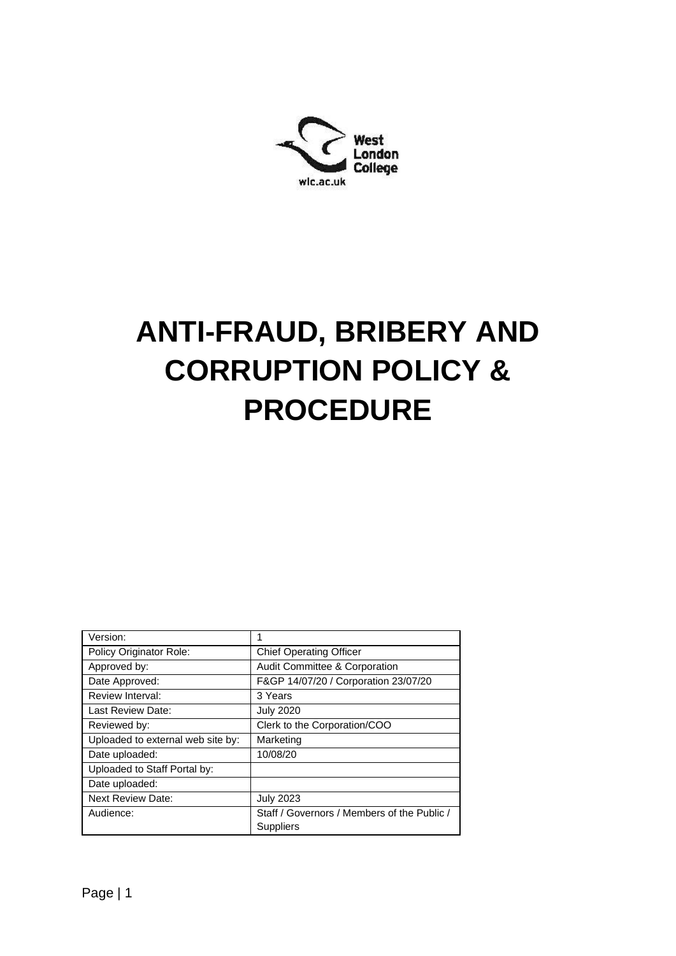

# **ANTI-FRAUD, BRIBERY AND CORRUPTION POLICY & PROCEDURE**

| Version:                          |                                                          |  |
|-----------------------------------|----------------------------------------------------------|--|
| Policy Originator Role:           | <b>Chief Operating Officer</b>                           |  |
| Approved by:                      | <b>Audit Committee &amp; Corporation</b>                 |  |
| Date Approved:                    | F&GP 14/07/20 / Corporation 23/07/20                     |  |
| Review Interval:                  | 3 Years                                                  |  |
| Last Review Date:                 | <b>July 2020</b>                                         |  |
| Reviewed by:                      | Clerk to the Corporation/COO                             |  |
| Uploaded to external web site by: | Marketing                                                |  |
| Date uploaded:                    | 10/08/20                                                 |  |
| Uploaded to Staff Portal by:      |                                                          |  |
| Date uploaded:                    |                                                          |  |
| <b>Next Review Date:</b>          | <b>July 2023</b>                                         |  |
| Audience:                         | Staff / Governors / Members of the Public /<br>Suppliers |  |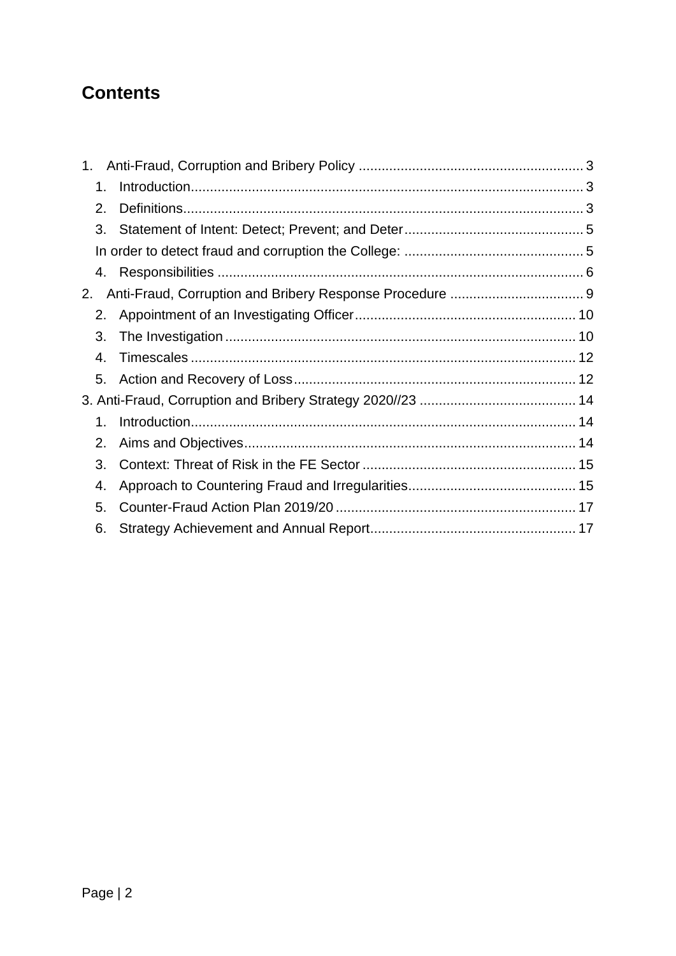## **Contents**

| 1. |  |  |
|----|--|--|
| 1. |  |  |
| 2. |  |  |
| 3. |  |  |
|    |  |  |
|    |  |  |
| 2. |  |  |
| 2. |  |  |
| 3. |  |  |
| 4. |  |  |
|    |  |  |
|    |  |  |
| 1. |  |  |
| 2. |  |  |
| 3. |  |  |
| 4. |  |  |
| 5. |  |  |
| 6. |  |  |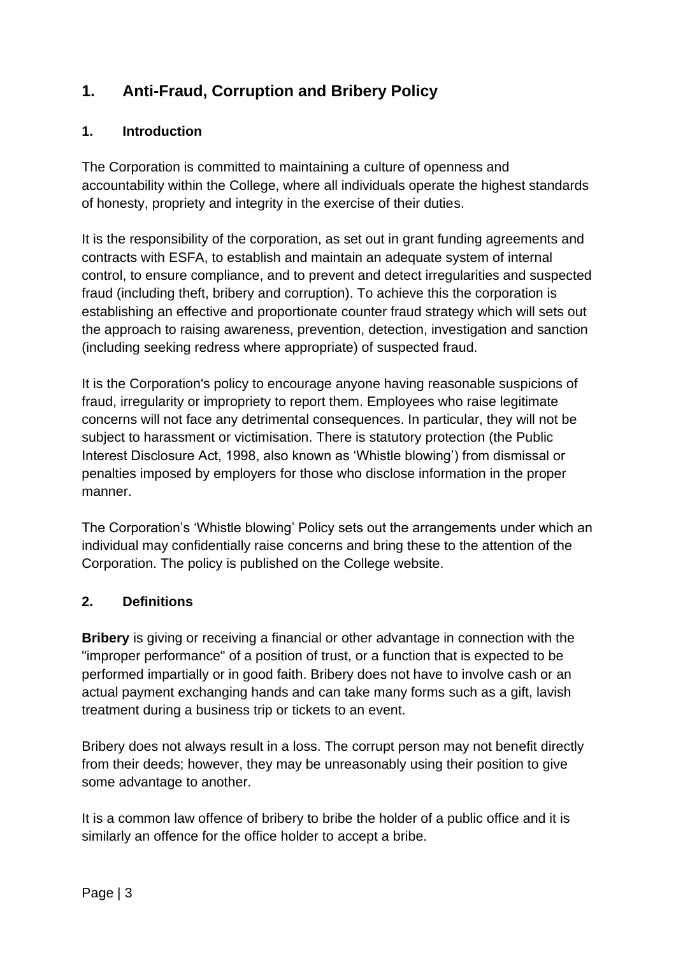## <span id="page-2-0"></span>**1. Anti-Fraud, Corruption and Bribery Policy**

#### <span id="page-2-1"></span>**1. Introduction**

The Corporation is committed to maintaining a culture of openness and accountability within the College, where all individuals operate the highest standards of honesty, propriety and integrity in the exercise of their duties.

It is the responsibility of the corporation, as set out in grant funding agreements and contracts with ESFA, to establish and maintain an adequate system of internal control, to ensure compliance, and to prevent and detect irregularities and suspected fraud (including theft, bribery and corruption). To achieve this the corporation is establishing an effective and proportionate counter fraud strategy which will sets out the approach to raising awareness, prevention, detection, investigation and sanction (including seeking redress where appropriate) of suspected fraud.

It is the Corporation's policy to encourage anyone having reasonable suspicions of fraud, irregularity or impropriety to report them. Employees who raise legitimate concerns will not face any detrimental consequences. In particular, they will not be subject to harassment or victimisation. There is statutory protection (the Public Interest Disclosure Act, 1998, also known as 'Whistle blowing') from dismissal or penalties imposed by employers for those who disclose information in the proper manner.

The Corporation's 'Whistle blowing' Policy sets out the arrangements under which an individual may confidentially raise concerns and bring these to the attention of the Corporation. The policy is published on the College website.

#### <span id="page-2-2"></span>**2. Definitions**

**Bribery** is giving or receiving a financial or other advantage in connection with the "improper performance" of a position of trust, or a function that is expected to be performed impartially or in good faith. Bribery does not have to involve cash or an actual payment exchanging hands and can take many forms such as a gift, lavish treatment during a business trip or tickets to an event.

Bribery does not always result in a loss. The corrupt person may not benefit directly from their deeds; however, they may be unreasonably using their position to give some advantage to another.

It is a common law offence of bribery to bribe the holder of a public office and it is similarly an offence for the office holder to accept a bribe.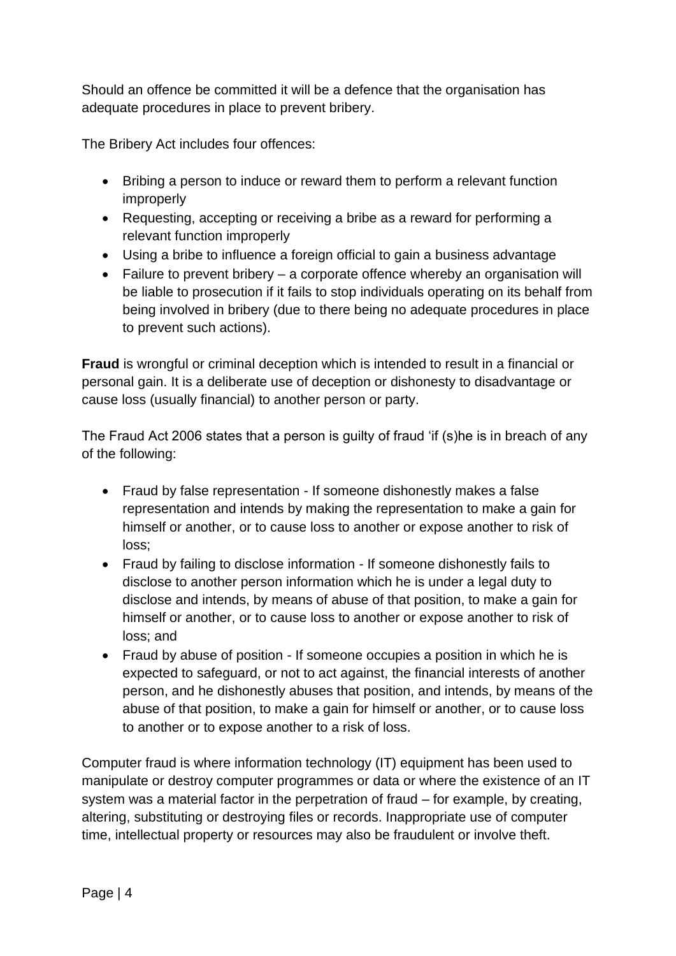Should an offence be committed it will be a defence that the organisation has adequate procedures in place to prevent bribery.

The Bribery Act includes four offences:

- Bribing a person to induce or reward them to perform a relevant function improperly
- Requesting, accepting or receiving a bribe as a reward for performing a relevant function improperly
- Using a bribe to influence a foreign official to gain a business advantage
- Failure to prevent bribery a corporate offence whereby an organisation will be liable to prosecution if it fails to stop individuals operating on its behalf from being involved in bribery (due to there being no adequate procedures in place to prevent such actions).

**Fraud** is wrongful or criminal deception which is intended to result in a financial or personal gain. It is a deliberate use of deception or dishonesty to disadvantage or cause loss (usually financial) to another person or party.

The Fraud Act 2006 states that a person is guilty of fraud 'if (s)he is in breach of any of the following:

- Fraud by false representation If someone dishonestly makes a false representation and intends by making the representation to make a gain for himself or another, or to cause loss to another or expose another to risk of loss;
- Fraud by failing to disclose information If someone dishonestly fails to disclose to another person information which he is under a legal duty to disclose and intends, by means of abuse of that position, to make a gain for himself or another, or to cause loss to another or expose another to risk of loss; and
- Fraud by abuse of position If someone occupies a position in which he is expected to safeguard, or not to act against, the financial interests of another person, and he dishonestly abuses that position, and intends, by means of the abuse of that position, to make a gain for himself or another, or to cause loss to another or to expose another to a risk of loss.

Computer fraud is where information technology (IT) equipment has been used to manipulate or destroy computer programmes or data or where the existence of an IT system was a material factor in the perpetration of fraud – for example, by creating, altering, substituting or destroying files or records. Inappropriate use of computer time, intellectual property or resources may also be fraudulent or involve theft.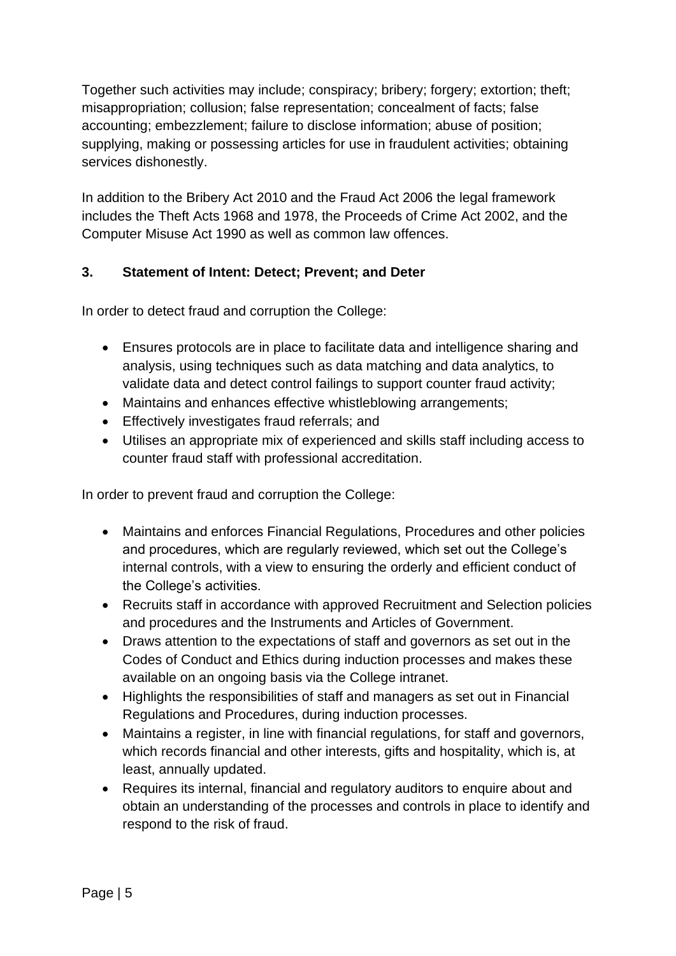Together such activities may include; conspiracy; bribery; forgery; extortion; theft; misappropriation; collusion; false representation; concealment of facts; false accounting; embezzlement; failure to disclose information; abuse of position; supplying, making or possessing articles for use in fraudulent activities; obtaining services dishonestly.

In addition to the Bribery Act 2010 and the Fraud Act 2006 the legal framework includes the Theft Acts 1968 and 1978, the Proceeds of Crime Act 2002, and the Computer Misuse Act 1990 as well as common law offences.

#### <span id="page-4-0"></span>**3. Statement of Intent: Detect; Prevent; and Deter**

<span id="page-4-1"></span>In order to detect fraud and corruption the College:

- Ensures protocols are in place to facilitate data and intelligence sharing and analysis, using techniques such as data matching and data analytics, to validate data and detect control failings to support counter fraud activity;
- Maintains and enhances effective whistleblowing arrangements;
- Effectively investigates fraud referrals; and
- Utilises an appropriate mix of experienced and skills staff including access to counter fraud staff with professional accreditation.

In order to prevent fraud and corruption the College:

- Maintains and enforces Financial Regulations, Procedures and other policies and procedures, which are regularly reviewed, which set out the College's internal controls, with a view to ensuring the orderly and efficient conduct of the College's activities.
- Recruits staff in accordance with approved Recruitment and Selection policies and procedures and the Instruments and Articles of Government.
- Draws attention to the expectations of staff and governors as set out in the Codes of Conduct and Ethics during induction processes and makes these available on an ongoing basis via the College intranet.
- Highlights the responsibilities of staff and managers as set out in Financial Regulations and Procedures, during induction processes.
- Maintains a register, in line with financial regulations, for staff and governors, which records financial and other interests, gifts and hospitality, which is, at least, annually updated.
- Requires its internal, financial and regulatory auditors to enquire about and obtain an understanding of the processes and controls in place to identify and respond to the risk of fraud.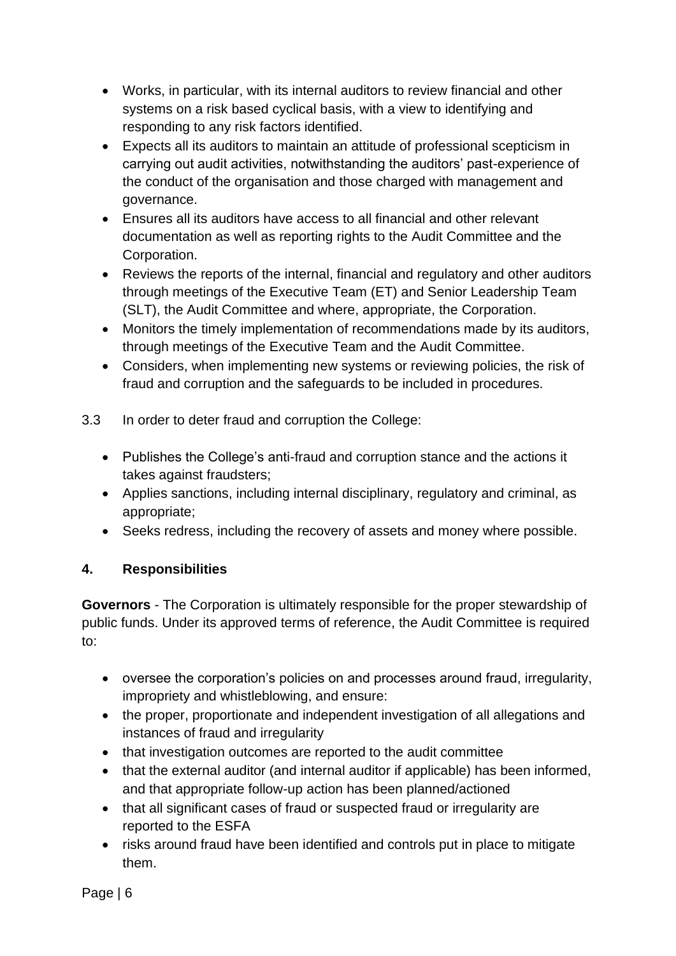- Works, in particular, with its internal auditors to review financial and other systems on a risk based cyclical basis, with a view to identifying and responding to any risk factors identified.
- Expects all its auditors to maintain an attitude of professional scepticism in carrying out audit activities, notwithstanding the auditors' past-experience of the conduct of the organisation and those charged with management and governance.
- Ensures all its auditors have access to all financial and other relevant documentation as well as reporting rights to the Audit Committee and the Corporation.
- Reviews the reports of the internal, financial and regulatory and other auditors through meetings of the Executive Team (ET) and Senior Leadership Team (SLT), the Audit Committee and where, appropriate, the Corporation.
- Monitors the timely implementation of recommendations made by its auditors, through meetings of the Executive Team and the Audit Committee.
- Considers, when implementing new systems or reviewing policies, the risk of fraud and corruption and the safeguards to be included in procedures.
- 3.3 In order to deter fraud and corruption the College:
	- Publishes the College's anti-fraud and corruption stance and the actions it takes against fraudsters;
	- Applies sanctions, including internal disciplinary, regulatory and criminal, as appropriate;
	- Seeks redress, including the recovery of assets and money where possible.

#### <span id="page-5-0"></span>**4. Responsibilities**

**Governors** - The Corporation is ultimately responsible for the proper stewardship of public funds. Under its approved terms of reference, the Audit Committee is required to:

- oversee the corporation's policies on and processes around fraud, irregularity, impropriety and whistleblowing, and ensure:
- the proper, proportionate and independent investigation of all allegations and instances of fraud and irregularity
- that investigation outcomes are reported to the audit committee
- that the external auditor (and internal auditor if applicable) has been informed, and that appropriate follow-up action has been planned/actioned
- that all significant cases of fraud or suspected fraud or irregularity are reported to the ESFA
- risks around fraud have been identified and controls put in place to mitigate them.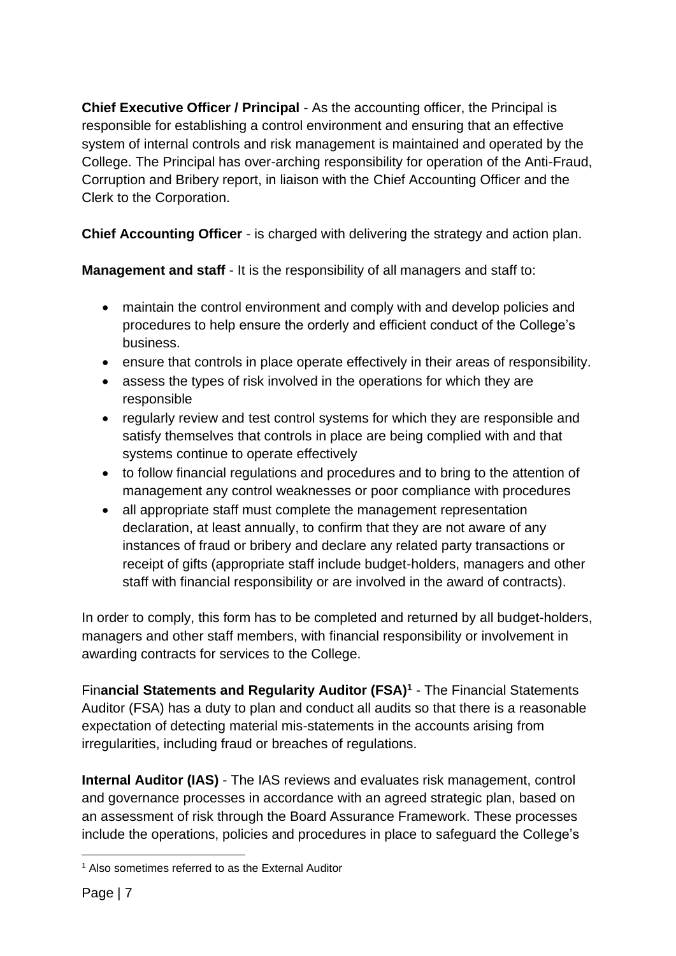**Chief Executive Officer / Principal** - As the accounting officer, the Principal is responsible for establishing a control environment and ensuring that an effective system of internal controls and risk management is maintained and operated by the College. The Principal has over-arching responsibility for operation of the Anti-Fraud, Corruption and Bribery report, in liaison with the Chief Accounting Officer and the Clerk to the Corporation.

**Chief Accounting Officer** - is charged with delivering the strategy and action plan.

**Management and staff** - It is the responsibility of all managers and staff to:

- maintain the control environment and comply with and develop policies and procedures to help ensure the orderly and efficient conduct of the College's business.
- ensure that controls in place operate effectively in their areas of responsibility.
- assess the types of risk involved in the operations for which they are responsible
- regularly review and test control systems for which they are responsible and satisfy themselves that controls in place are being complied with and that systems continue to operate effectively
- to follow financial regulations and procedures and to bring to the attention of management any control weaknesses or poor compliance with procedures
- all appropriate staff must complete the management representation declaration, at least annually, to confirm that they are not aware of any instances of fraud or bribery and declare any related party transactions or receipt of gifts (appropriate staff include budget-holders, managers and other staff with financial responsibility or are involved in the award of contracts).

In order to comply, this form has to be completed and returned by all budget-holders, managers and other staff members, with financial responsibility or involvement in awarding contracts for services to the College.

Fin**ancial Statements and Regularity Auditor (FSA)<sup>1</sup>** - The Financial Statements Auditor (FSA) has a duty to plan and conduct all audits so that there is a reasonable expectation of detecting material mis-statements in the accounts arising from irregularities, including fraud or breaches of regulations.

**Internal Auditor (IAS)** - The IAS reviews and evaluates risk management, control and governance processes in accordance with an agreed strategic plan, based on an assessment of risk through the Board Assurance Framework. These processes include the operations, policies and procedures in place to safeguard the College's

<sup>1</sup> Also sometimes referred to as the External Auditor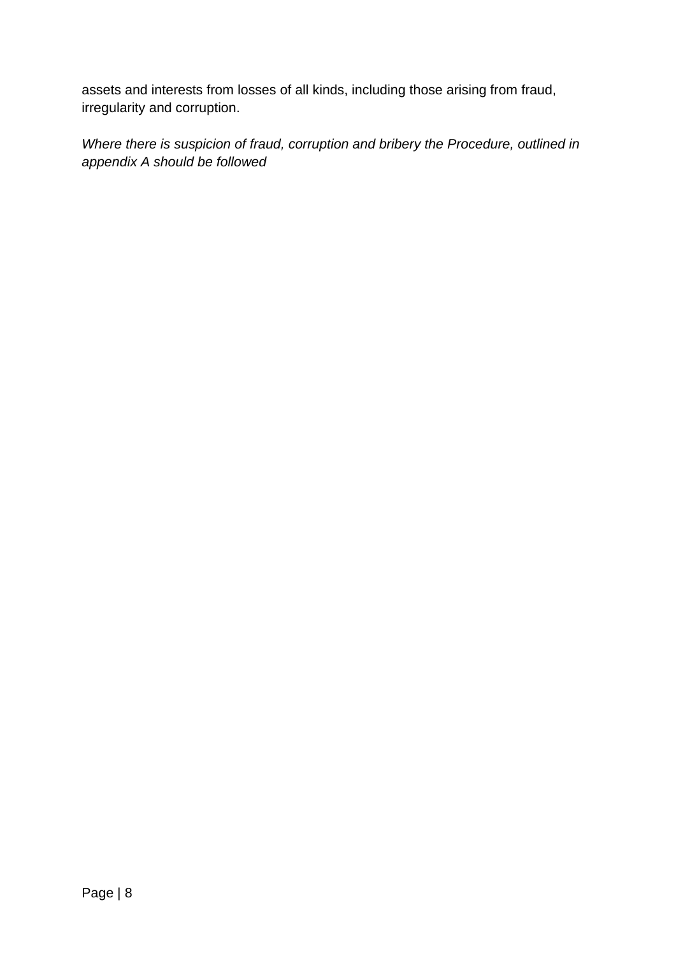assets and interests from losses of all kinds, including those arising from fraud, irregularity and corruption.

*Where there is suspicion of fraud, corruption and bribery the Procedure, outlined in appendix A should be followed*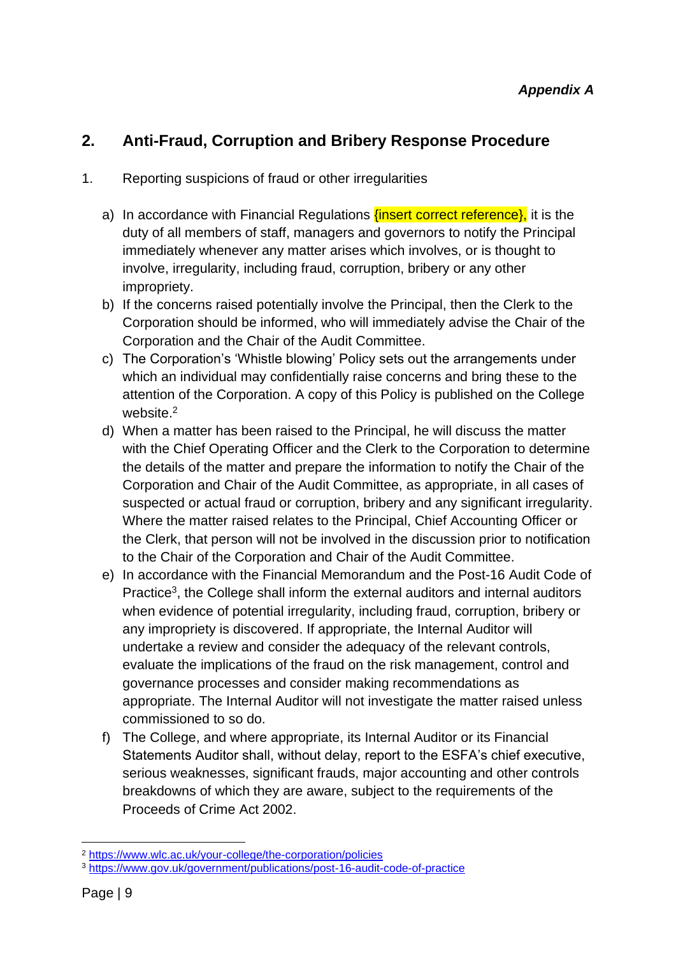## <span id="page-8-0"></span>**2. Anti-Fraud, Corruption and Bribery Response Procedure**

#### 1. Reporting suspicions of fraud or other irregularities

- a) In accordance with Financial Regulations *{insert correct reference},* it is the duty of all members of staff, managers and governors to notify the Principal immediately whenever any matter arises which involves, or is thought to involve, irregularity, including fraud, corruption, bribery or any other impropriety.
- b) If the concerns raised potentially involve the Principal, then the Clerk to the Corporation should be informed, who will immediately advise the Chair of the Corporation and the Chair of the Audit Committee.
- c) The Corporation's 'Whistle blowing' Policy sets out the arrangements under which an individual may confidentially raise concerns and bring these to the attention of the Corporation. A copy of this Policy is published on the College website.<sup>2</sup>
- d) When a matter has been raised to the Principal, he will discuss the matter with the Chief Operating Officer and the Clerk to the Corporation to determine the details of the matter and prepare the information to notify the Chair of the Corporation and Chair of the Audit Committee, as appropriate, in all cases of suspected or actual fraud or corruption, bribery and any significant irregularity. Where the matter raised relates to the Principal, Chief Accounting Officer or the Clerk, that person will not be involved in the discussion prior to notification to the Chair of the Corporation and Chair of the Audit Committee.
- e) In accordance with the Financial Memorandum and the Post-16 Audit Code of Practice<sup>3</sup>, the College shall inform the external auditors and internal auditors when evidence of potential irregularity, including fraud, corruption, bribery or any impropriety is discovered. If appropriate, the Internal Auditor will undertake a review and consider the adequacy of the relevant controls, evaluate the implications of the fraud on the risk management, control and governance processes and consider making recommendations as appropriate. The Internal Auditor will not investigate the matter raised unless commissioned to so do.
- f) The College, and where appropriate, its Internal Auditor or its Financial Statements Auditor shall, without delay, report to the ESFA's chief executive, serious weaknesses, significant frauds, major accounting and other controls breakdowns of which they are aware, subject to the requirements of the Proceeds of Crime Act 2002.

<sup>2</sup> <https://www.wlc.ac.uk/your-college/the-corporation/policies>

<sup>3</sup> <https://www.gov.uk/government/publications/post-16-audit-code-of-practice>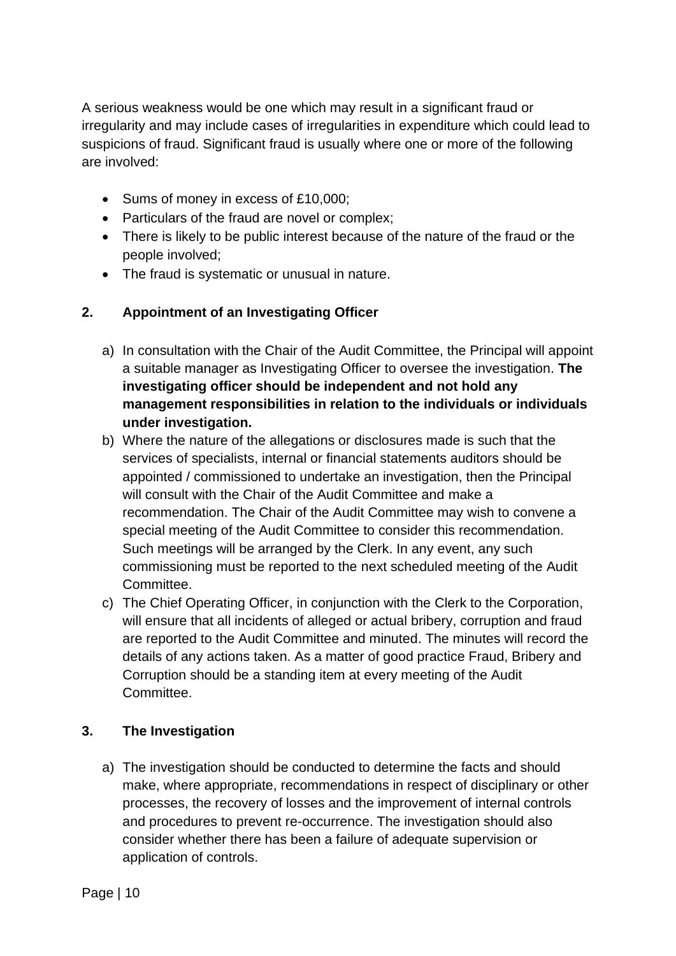A serious weakness would be one which may result in a significant fraud or irregularity and may include cases of irregularities in expenditure which could lead to suspicions of fraud. Significant fraud is usually where one or more of the following are involved:

- Sums of money in excess of £10,000;
- Particulars of the fraud are novel or complex;
- There is likely to be public interest because of the nature of the fraud or the people involved;
- The fraud is systematic or unusual in nature.

#### <span id="page-9-0"></span>**2. Appointment of an Investigating Officer**

- a) In consultation with the Chair of the Audit Committee, the Principal will appoint a suitable manager as Investigating Officer to oversee the investigation. **The investigating officer should be independent and not hold any management responsibilities in relation to the individuals or individuals under investigation.**
- b) Where the nature of the allegations or disclosures made is such that the services of specialists, internal or financial statements auditors should be appointed / commissioned to undertake an investigation, then the Principal will consult with the Chair of the Audit Committee and make a recommendation. The Chair of the Audit Committee may wish to convene a special meeting of the Audit Committee to consider this recommendation. Such meetings will be arranged by the Clerk. In any event, any such commissioning must be reported to the next scheduled meeting of the Audit **Committee.**
- c) The Chief Operating Officer, in conjunction with the Clerk to the Corporation, will ensure that all incidents of alleged or actual bribery, corruption and fraud are reported to the Audit Committee and minuted. The minutes will record the details of any actions taken. As a matter of good practice Fraud, Bribery and Corruption should be a standing item at every meeting of the Audit **Committee.**

#### <span id="page-9-1"></span>**3. The Investigation**

a) The investigation should be conducted to determine the facts and should make, where appropriate, recommendations in respect of disciplinary or other processes, the recovery of losses and the improvement of internal controls and procedures to prevent re-occurrence. The investigation should also consider whether there has been a failure of adequate supervision or application of controls.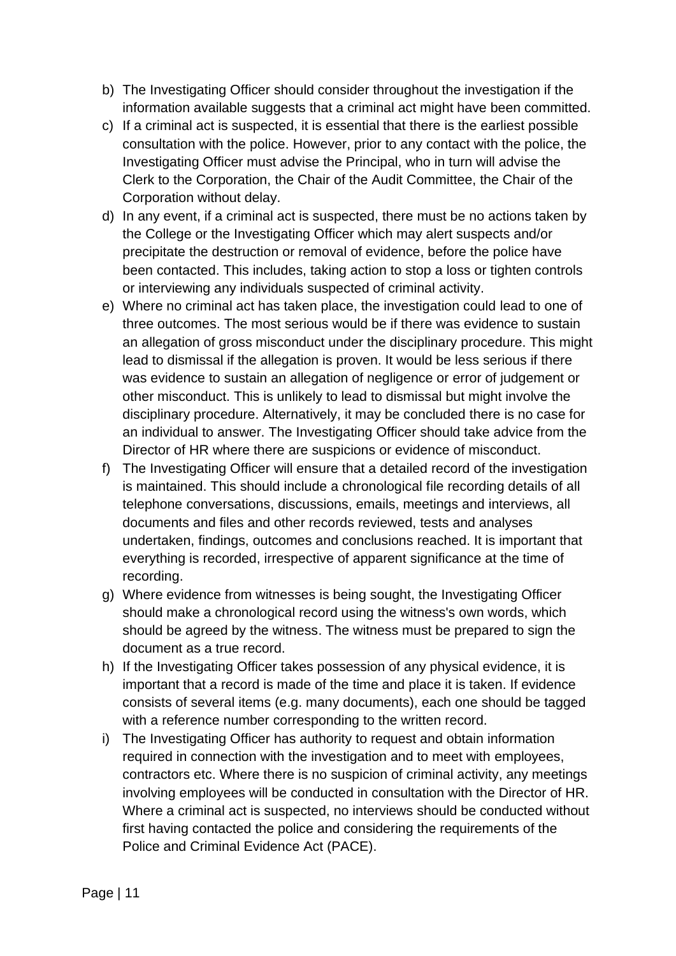- b) The Investigating Officer should consider throughout the investigation if the information available suggests that a criminal act might have been committed.
- c) If a criminal act is suspected, it is essential that there is the earliest possible consultation with the police. However, prior to any contact with the police, the Investigating Officer must advise the Principal, who in turn will advise the Clerk to the Corporation, the Chair of the Audit Committee, the Chair of the Corporation without delay.
- d) In any event, if a criminal act is suspected, there must be no actions taken by the College or the Investigating Officer which may alert suspects and/or precipitate the destruction or removal of evidence, before the police have been contacted. This includes, taking action to stop a loss or tighten controls or interviewing any individuals suspected of criminal activity.
- e) Where no criminal act has taken place, the investigation could lead to one of three outcomes. The most serious would be if there was evidence to sustain an allegation of gross misconduct under the disciplinary procedure. This might lead to dismissal if the allegation is proven. It would be less serious if there was evidence to sustain an allegation of negligence or error of judgement or other misconduct. This is unlikely to lead to dismissal but might involve the disciplinary procedure. Alternatively, it may be concluded there is no case for an individual to answer. The Investigating Officer should take advice from the Director of HR where there are suspicions or evidence of misconduct.
- f) The Investigating Officer will ensure that a detailed record of the investigation is maintained. This should include a chronological file recording details of all telephone conversations, discussions, emails, meetings and interviews, all documents and files and other records reviewed, tests and analyses undertaken, findings, outcomes and conclusions reached. It is important that everything is recorded, irrespective of apparent significance at the time of recording.
- g) Where evidence from witnesses is being sought, the Investigating Officer should make a chronological record using the witness's own words, which should be agreed by the witness. The witness must be prepared to sign the document as a true record.
- h) If the Investigating Officer takes possession of any physical evidence, it is important that a record is made of the time and place it is taken. If evidence consists of several items (e.g. many documents), each one should be tagged with a reference number corresponding to the written record.
- i) The Investigating Officer has authority to request and obtain information required in connection with the investigation and to meet with employees, contractors etc. Where there is no suspicion of criminal activity, any meetings involving employees will be conducted in consultation with the Director of HR. Where a criminal act is suspected, no interviews should be conducted without first having contacted the police and considering the requirements of the Police and Criminal Evidence Act (PACE).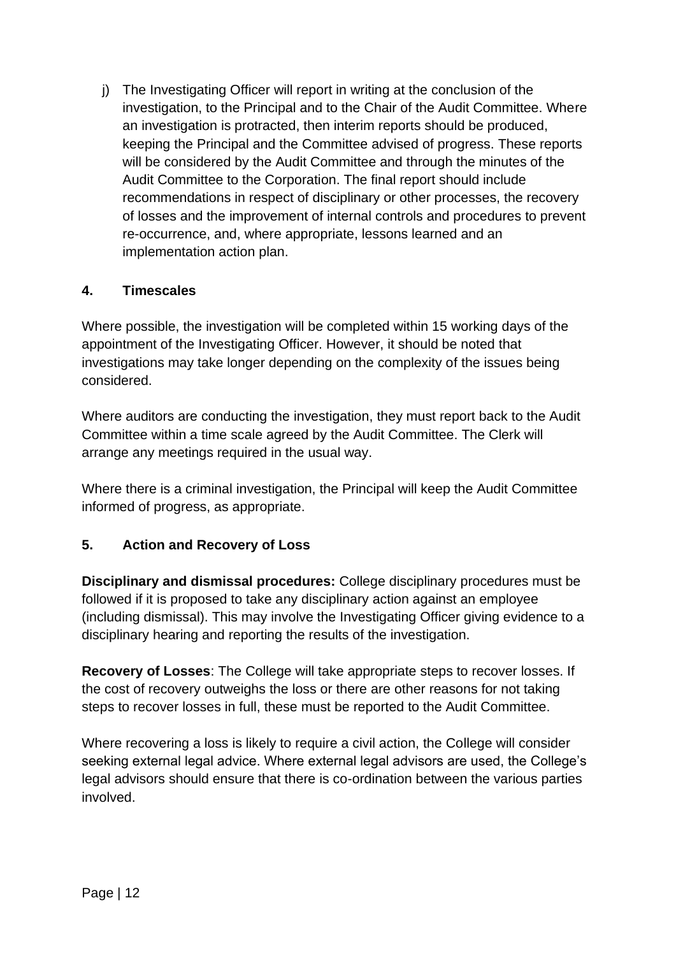j) The Investigating Officer will report in writing at the conclusion of the investigation, to the Principal and to the Chair of the Audit Committee. Where an investigation is protracted, then interim reports should be produced, keeping the Principal and the Committee advised of progress. These reports will be considered by the Audit Committee and through the minutes of the Audit Committee to the Corporation. The final report should include recommendations in respect of disciplinary or other processes, the recovery of losses and the improvement of internal controls and procedures to prevent re-occurrence, and, where appropriate, lessons learned and an implementation action plan.

#### <span id="page-11-0"></span>**4. Timescales**

Where possible, the investigation will be completed within 15 working days of the appointment of the Investigating Officer. However, it should be noted that investigations may take longer depending on the complexity of the issues being considered.

Where auditors are conducting the investigation, they must report back to the Audit Committee within a time scale agreed by the Audit Committee. The Clerk will arrange any meetings required in the usual way.

Where there is a criminal investigation, the Principal will keep the Audit Committee informed of progress, as appropriate.

#### <span id="page-11-1"></span>**5. Action and Recovery of Loss**

**Disciplinary and dismissal procedures:** College disciplinary procedures must be followed if it is proposed to take any disciplinary action against an employee (including dismissal). This may involve the Investigating Officer giving evidence to a disciplinary hearing and reporting the results of the investigation.

**Recovery of Losses**: The College will take appropriate steps to recover losses. If the cost of recovery outweighs the loss or there are other reasons for not taking steps to recover losses in full, these must be reported to the Audit Committee.

Where recovering a loss is likely to require a civil action, the College will consider seeking external legal advice. Where external legal advisors are used, the College's legal advisors should ensure that there is co-ordination between the various parties involved.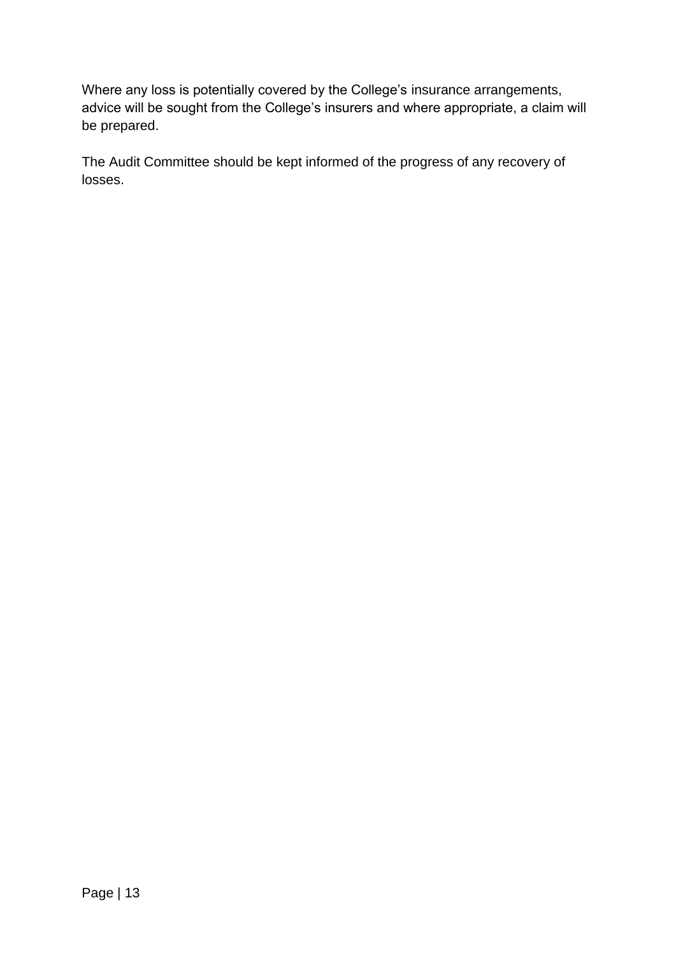Where any loss is potentially covered by the College's insurance arrangements, advice will be sought from the College's insurers and where appropriate, a claim will be prepared.

The Audit Committee should be kept informed of the progress of any recovery of losses.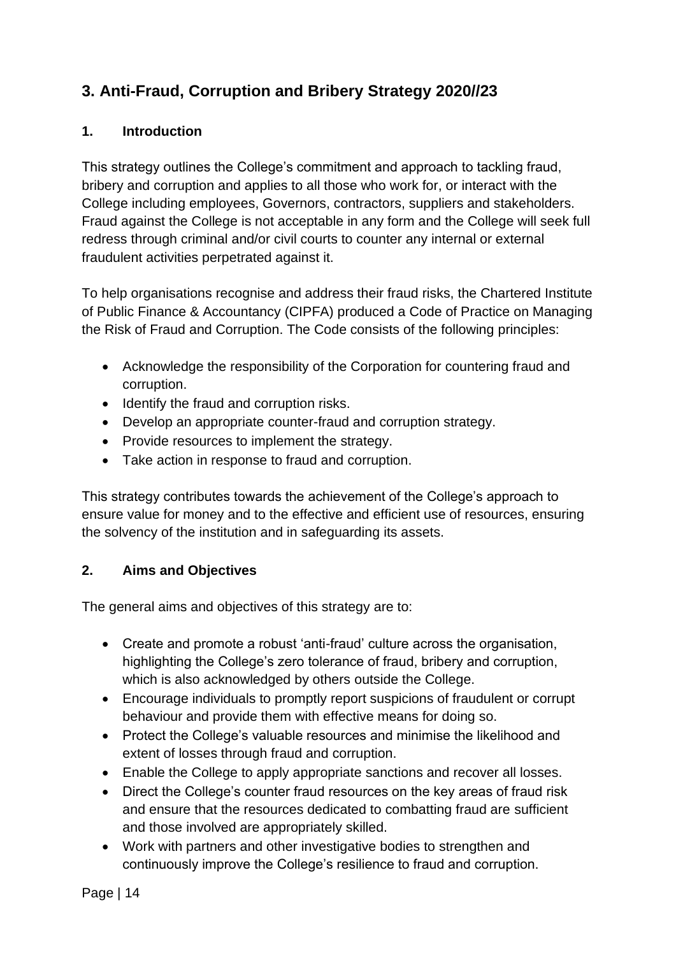## <span id="page-13-0"></span>**3. Anti-Fraud, Corruption and Bribery Strategy 2020//23**

#### <span id="page-13-1"></span>**1. Introduction**

This strategy outlines the College's commitment and approach to tackling fraud, bribery and corruption and applies to all those who work for, or interact with the College including employees, Governors, contractors, suppliers and stakeholders. Fraud against the College is not acceptable in any form and the College will seek full redress through criminal and/or civil courts to counter any internal or external fraudulent activities perpetrated against it.

To help organisations recognise and address their fraud risks, the Chartered Institute of Public Finance & Accountancy (CIPFA) produced a Code of Practice on Managing the Risk of Fraud and Corruption. The Code consists of the following principles:

- Acknowledge the responsibility of the Corporation for countering fraud and corruption.
- Identify the fraud and corruption risks.
- Develop an appropriate counter-fraud and corruption strategy.
- Provide resources to implement the strategy.
- Take action in response to fraud and corruption.

This strategy contributes towards the achievement of the College's approach to ensure value for money and to the effective and efficient use of resources, ensuring the solvency of the institution and in safeguarding its assets.

#### <span id="page-13-2"></span>**2. Aims and Objectives**

The general aims and objectives of this strategy are to:

- Create and promote a robust 'anti-fraud' culture across the organisation, highlighting the College's zero tolerance of fraud, bribery and corruption, which is also acknowledged by others outside the College.
- Encourage individuals to promptly report suspicions of fraudulent or corrupt behaviour and provide them with effective means for doing so.
- Protect the College's valuable resources and minimise the likelihood and extent of losses through fraud and corruption.
- Enable the College to apply appropriate sanctions and recover all losses.
- Direct the College's counter fraud resources on the key areas of fraud risk and ensure that the resources dedicated to combatting fraud are sufficient and those involved are appropriately skilled.
- Work with partners and other investigative bodies to strengthen and continuously improve the College's resilience to fraud and corruption.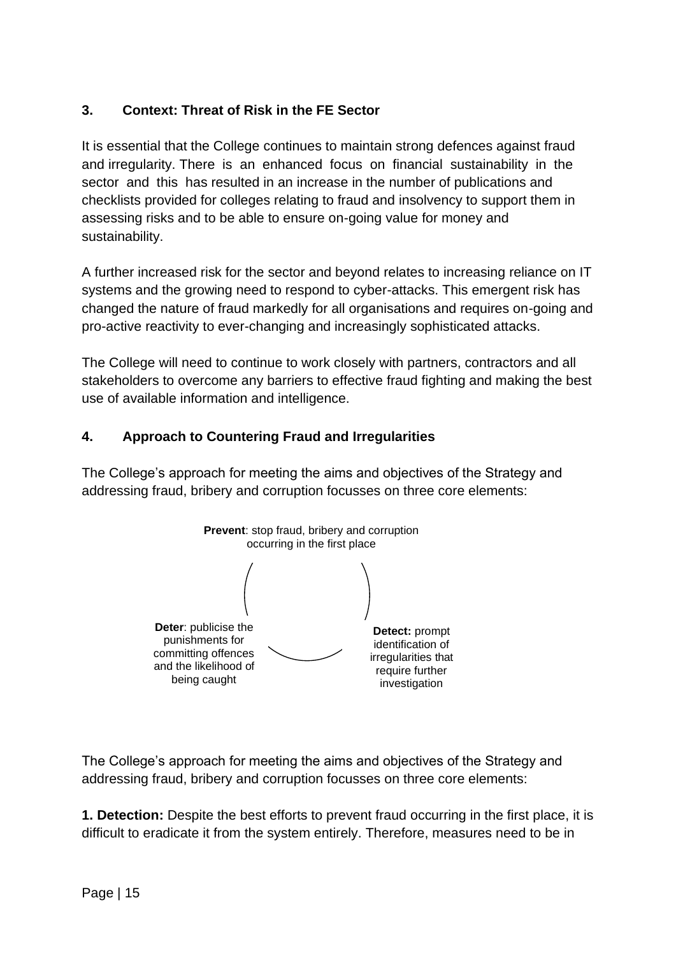#### <span id="page-14-0"></span>**3. Context: Threat of Risk in the FE Sector**

It is essential that the College continues to maintain strong defences against fraud and irregularity. There is an enhanced focus on financial sustainability in the sector and this has resulted in an increase in the number of publications and checklists provided for colleges relating to fraud and insolvency to support them in assessing risks and to be able to ensure on-going value for money and sustainability.

A further increased risk for the sector and beyond relates to increasing reliance on IT systems and the growing need to respond to cyber-attacks. This emergent risk has changed the nature of fraud markedly for all organisations and requires on-going and pro-active reactivity to ever-changing and increasingly sophisticated attacks.

The College will need to continue to work closely with partners, contractors and all stakeholders to overcome any barriers to effective fraud fighting and making the best use of available information and intelligence.

#### <span id="page-14-1"></span>**4. Approach to Countering Fraud and Irregularities**

The College's approach for meeting the aims and objectives of the Strategy and addressing fraud, bribery and corruption focusses on three core elements:



The College's approach for meeting the aims and objectives of the Strategy and addressing fraud, bribery and corruption focusses on three core elements:

**1. Detection:** Despite the best efforts to prevent fraud occurring in the first place, it is difficult to eradicate it from the system entirely. Therefore, measures need to be in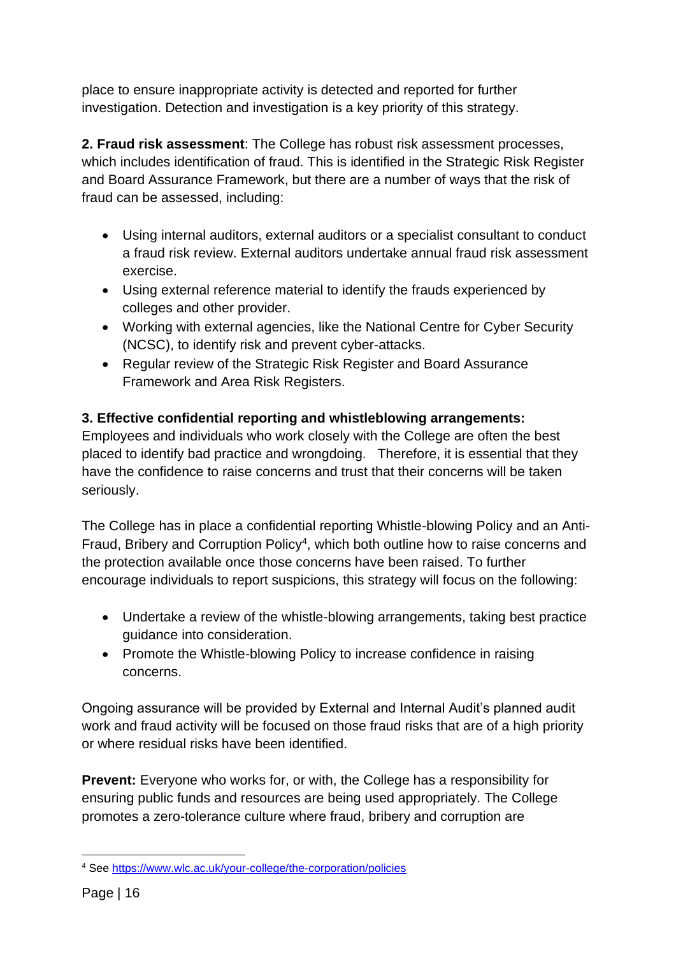place to ensure inappropriate activity is detected and reported for further investigation. Detection and investigation is a key priority of this strategy.

**2. Fraud risk assessment**: The College has robust risk assessment processes, which includes identification of fraud. This is identified in the Strategic Risk Register and Board Assurance Framework, but there are a number of ways that the risk of fraud can be assessed, including:

- Using internal auditors, external auditors or a specialist consultant to conduct a fraud risk review. External auditors undertake annual fraud risk assessment exercise.
- Using external reference material to identify the frauds experienced by colleges and other provider.
- Working with external agencies, like the National Centre for Cyber Security (NCSC), to identify risk and prevent cyber-attacks.
- Regular review of the Strategic Risk Register and Board Assurance Framework and Area Risk Registers.

## **3. Effective confidential reporting and whistleblowing arrangements:**

Employees and individuals who work closely with the College are often the best placed to identify bad practice and wrongdoing. Therefore, it is essential that they have the confidence to raise concerns and trust that their concerns will be taken seriously.

The College has in place a confidential reporting Whistle-blowing Policy and an Anti-Fraud, Bribery and Corruption Policy<sup>4</sup>, which both outline how to raise concerns and the protection available once those concerns have been raised. To further encourage individuals to report suspicions, this strategy will focus on the following:

- Undertake a review of the whistle-blowing arrangements, taking best practice guidance into consideration.
- Promote the Whistle-blowing Policy to increase confidence in raising concerns.

Ongoing assurance will be provided by External and Internal Audit's planned audit work and fraud activity will be focused on those fraud risks that are of a high priority or where residual risks have been identified.

**Prevent:** Everyone who works for, or with, the College has a responsibility for ensuring public funds and resources are being used appropriately. The College promotes a zero-tolerance culture where fraud, bribery and corruption are

<sup>4</sup> See <https://www.wlc.ac.uk/your-college/the-corporation/policies>